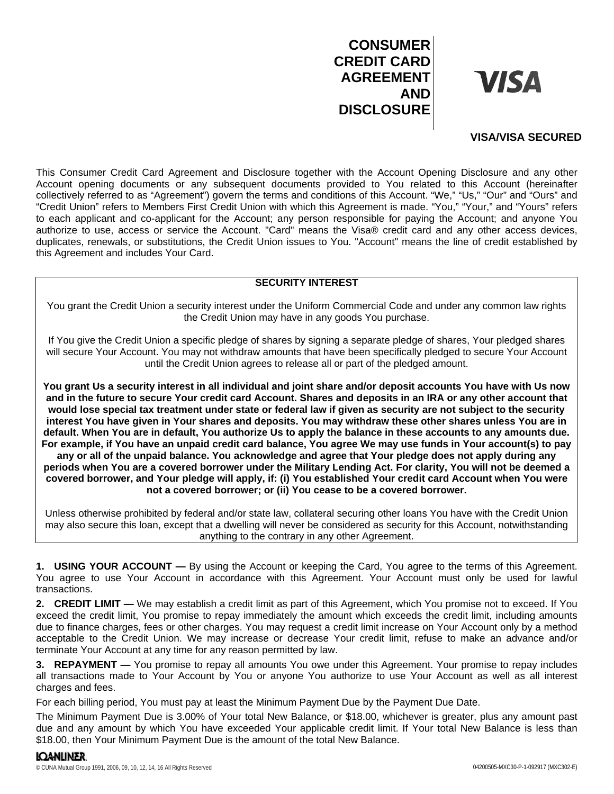# **CONSUMER CREDIT CARD AGREEMENT AND DISCLOSURE**

**VISA** 

## **VISA/VISA SECURED**

This Consumer Credit Card Agreement and Disclosure together with the Account Opening Disclosure and any other Account opening documents or any subsequent documents provided to You related to this Account (hereinafter collectively referred to as "Agreement") govern the terms and conditions of this Account. "We," "Us," "Our" and "Ours" and "Credit Union" refers to Members First Credit Union with which this Agreement is made. "You," "Your," and "Yours" refers to each applicant and co-applicant for the Account; any person responsible for paying the Account; and anyone You authorize to use, access or service the Account. "Card" means the Visa® credit card and any other access devices, duplicates, renewals, or substitutions, the Credit Union issues to You. "Account" means the line of credit established by this Agreement and includes Your Card.

### **SECURITY INTEREST**

You grant the Credit Union a security interest under the Uniform Commercial Code and under any common law rights the Credit Union may have in any goods You purchase.

If You give the Credit Union a specific pledge of shares by signing a separate pledge of shares, Your pledged shares will secure Your Account. You may not withdraw amounts that have been specifically pledged to secure Your Account until the Credit Union agrees to release all or part of the pledged amount.

**You grant Us a security interest in all individual and joint share and/or deposit accounts You have with Us now and in the future to secure Your credit card Account. Shares and deposits in an IRA or any other account that would lose special tax treatment under state or federal law if given as security are not subject to the security interest You have given in Your shares and deposits. You may withdraw these other shares unless You are in default. When You are in default, You authorize Us to apply the balance in these accounts to any amounts due. For example, if You have an unpaid credit card balance, You agree We may use funds in Your account(s) to pay any or all of the unpaid balance. You acknowledge and agree that Your pledge does not apply during any periods when You are a covered borrower under the Military Lending Act. For clarity, You will not be deemed a covered borrower, and Your pledge will apply, if: (i) You established Your credit card Account when You were not a covered borrower; or (ii) You cease to be a covered borrower.**

Unless otherwise prohibited by federal and/or state law, collateral securing other loans You have with the Credit Union may also secure this loan, except that a dwelling will never be considered as security for this Account, notwithstanding anything to the contrary in any other Agreement.

**1. USING YOUR ACCOUNT —** By using the Account or keeping the Card, You agree to the terms of this Agreement. You agree to use Your Account in accordance with this Agreement. Your Account must only be used for lawful transactions.

**2. CREDIT LIMIT —** We may establish a credit limit as part of this Agreement, which You promise not to exceed. If You exceed the credit limit, You promise to repay immediately the amount which exceeds the credit limit, including amounts due to finance charges, fees or other charges. You may request a credit limit increase on Your Account only by a method acceptable to the Credit Union. We may increase or decrease Your credit limit, refuse to make an advance and/or terminate Your Account at any time for any reason permitted by law.

**3. REPAYMENT —** You promise to repay all amounts You owe under this Agreement. Your promise to repay includes all transactions made to Your Account by You or anyone You authorize to use Your Account as well as all interest charges and fees.

For each billing period, You must pay at least the Minimum Payment Due by the Payment Due Date.

The Minimum Payment Due is 3.00% of Your total New Balance, or \$18.00, whichever is greater, plus any amount past due and any amount by which You have exceeded Your applicable credit limit. If Your total New Balance is less than \$18.00, then Your Minimum Payment Due is the amount of the total New Balance.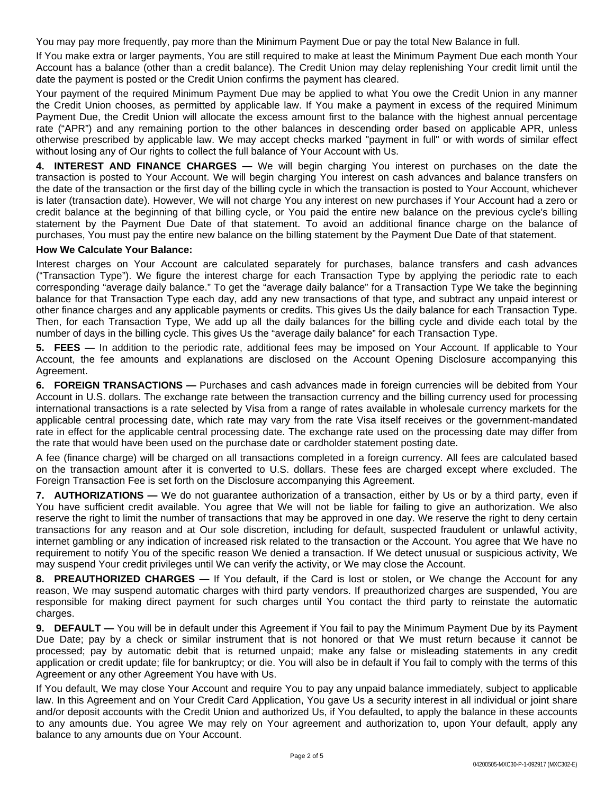You may pay more frequently, pay more than the Minimum Payment Due or pay the total New Balance in full.

If You make extra or larger payments, You are still required to make at least the Minimum Payment Due each month Your Account has a balance (other than a credit balance). The Credit Union may delay replenishing Your credit limit until the date the payment is posted or the Credit Union confirms the payment has cleared.

Your payment of the required Minimum Payment Due may be applied to what You owe the Credit Union in any manner the Credit Union chooses, as permitted by applicable law. If You make a payment in excess of the required Minimum Payment Due, the Credit Union will allocate the excess amount first to the balance with the highest annual percentage rate ("APR") and any remaining portion to the other balances in descending order based on applicable APR, unless otherwise prescribed by applicable law. We may accept checks marked "payment in full" or with words of similar effect without losing any of Our rights to collect the full balance of Your Account with Us.

**4. INTEREST AND FINANCE CHARGES —** We will begin charging You interest on purchases on the date the transaction is posted to Your Account. We will begin charging You interest on cash advances and balance transfers on the date of the transaction or the first day of the billing cycle in which the transaction is posted to Your Account, whichever is later (transaction date). However, We will not charge You any interest on new purchases if Your Account had a zero or credit balance at the beginning of that billing cycle, or You paid the entire new balance on the previous cycle's billing statement by the Payment Due Date of that statement. To avoid an additional finance charge on the balance of purchases, You must pay the entire new balance on the billing statement by the Payment Due Date of that statement.

#### **How We Calculate Your Balance:**

Interest charges on Your Account are calculated separately for purchases, balance transfers and cash advances ("Transaction Type"). We figure the interest charge for each Transaction Type by applying the periodic rate to each corresponding "average daily balance." To get the "average daily balance" for a Transaction Type We take the beginning balance for that Transaction Type each day, add any new transactions of that type, and subtract any unpaid interest or other finance charges and any applicable payments or credits. This gives Us the daily balance for each Transaction Type. Then, for each Transaction Type, We add up all the daily balances for the billing cycle and divide each total by the number of days in the billing cycle. This gives Us the "average daily balance" for each Transaction Type.

**5. FEES —** In addition to the periodic rate, additional fees may be imposed on Your Account. If applicable to Your Account, the fee amounts and explanations are disclosed on the Account Opening Disclosure accompanying this Agreement.

**6. FOREIGN TRANSACTIONS —** Purchases and cash advances made in foreign currencies will be debited from Your Account in U.S. dollars. The exchange rate between the transaction currency and the billing currency used for processing international transactions is a rate selected by Visa from a range of rates available in wholesale currency markets for the applicable central processing date, which rate may vary from the rate Visa itself receives or the government-mandated rate in effect for the applicable central processing date. The exchange rate used on the processing date may differ from the rate that would have been used on the purchase date or cardholder statement posting date.

A fee (finance charge) will be charged on all transactions completed in a foreign currency. All fees are calculated based on the transaction amount after it is converted to U.S. dollars. These fees are charged except where excluded. The Foreign Transaction Fee is set forth on the Disclosure accompanying this Agreement.

**7. AUTHORIZATIONS —** We do not guarantee authorization of a transaction, either by Us or by a third party, even if You have sufficient credit available. You agree that We will not be liable for failing to give an authorization. We also reserve the right to limit the number of transactions that may be approved in one day. We reserve the right to deny certain transactions for any reason and at Our sole discretion, including for default, suspected fraudulent or unlawful activity, internet gambling or any indication of increased risk related to the transaction or the Account. You agree that We have no requirement to notify You of the specific reason We denied a transaction. If We detect unusual or suspicious activity, We may suspend Your credit privileges until We can verify the activity, or We may close the Account.

**8. PREAUTHORIZED CHARGES —** If You default, if the Card is lost or stolen, or We change the Account for any reason, We may suspend automatic charges with third party vendors. If preauthorized charges are suspended, You are responsible for making direct payment for such charges until You contact the third party to reinstate the automatic charges.

**9. DEFAULT —** You will be in default under this Agreement if You fail to pay the Minimum Payment Due by its Payment Due Date; pay by a check or similar instrument that is not honored or that We must return because it cannot be processed; pay by automatic debit that is returned unpaid; make any false or misleading statements in any credit application or credit update; file for bankruptcy; or die. You will also be in default if You fail to comply with the terms of this Agreement or any other Agreement You have with Us.

If You default, We may close Your Account and require You to pay any unpaid balance immediately, subject to applicable law. In this Agreement and on Your Credit Card Application, You gave Us a security interest in all individual or joint share and/or deposit accounts with the Credit Union and authorized Us, if You defaulted, to apply the balance in these accounts to any amounts due. You agree We may rely on Your agreement and authorization to, upon Your default, apply any balance to any amounts due on Your Account.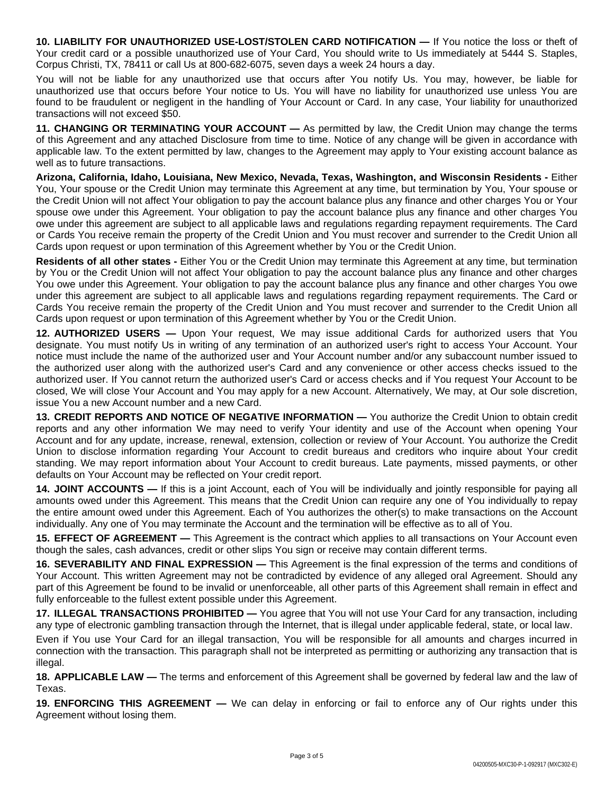**10. LIABILITY FOR UNAUTHORIZED USE-LOST/STOLEN CARD NOTIFICATION —** If You notice the loss or theft of Your credit card or a possible unauthorized use of Your Card, You should write to Us immediately at 5444 S. Staples, Corpus Christi, TX, 78411 or call Us at 800-682-6075, seven days a week 24 hours a day.

You will not be liable for any unauthorized use that occurs after You notify Us. You may, however, be liable for unauthorized use that occurs before Your notice to Us. You will have no liability for unauthorized use unless You are found to be fraudulent or negligent in the handling of Your Account or Card. In any case, Your liability for unauthorized transactions will not exceed \$50.

**11. CHANGING OR TERMINATING YOUR ACCOUNT —** As permitted by law, the Credit Union may change the terms of this Agreement and any attached Disclosure from time to time. Notice of any change will be given in accordance with applicable law. To the extent permitted by law, changes to the Agreement may apply to Your existing account balance as well as to future transactions.

**Arizona, California, Idaho, Louisiana, New Mexico, Nevada, Texas, Washington, and Wisconsin Residents -** Either You, Your spouse or the Credit Union may terminate this Agreement at any time, but termination by You, Your spouse or the Credit Union will not affect Your obligation to pay the account balance plus any finance and other charges You or Your spouse owe under this Agreement. Your obligation to pay the account balance plus any finance and other charges You owe under this agreement are subject to all applicable laws and regulations regarding repayment requirements. The Card or Cards You receive remain the property of the Credit Union and You must recover and surrender to the Credit Union all Cards upon request or upon termination of this Agreement whether by You or the Credit Union.

**Residents of all other states -** Either You or the Credit Union may terminate this Agreement at any time, but termination by You or the Credit Union will not affect Your obligation to pay the account balance plus any finance and other charges You owe under this Agreement. Your obligation to pay the account balance plus any finance and other charges You owe under this agreement are subject to all applicable laws and regulations regarding repayment requirements. The Card or Cards You receive remain the property of the Credit Union and You must recover and surrender to the Credit Union all Cards upon request or upon termination of this Agreement whether by You or the Credit Union.

**12. AUTHORIZED USERS —** Upon Your request, We may issue additional Cards for authorized users that You designate. You must notify Us in writing of any termination of an authorized user's right to access Your Account. Your notice must include the name of the authorized user and Your Account number and/or any subaccount number issued to the authorized user along with the authorized user's Card and any convenience or other access checks issued to the authorized user. If You cannot return the authorized user's Card or access checks and if You request Your Account to be closed, We will close Your Account and You may apply for a new Account. Alternatively, We may, at Our sole discretion, issue You a new Account number and a new Card.

**13. CREDIT REPORTS AND NOTICE OF NEGATIVE INFORMATION —** You authorize the Credit Union to obtain credit reports and any other information We may need to verify Your identity and use of the Account when opening Your Account and for any update, increase, renewal, extension, collection or review of Your Account. You authorize the Credit Union to disclose information regarding Your Account to credit bureaus and creditors who inquire about Your credit standing. We may report information about Your Account to credit bureaus. Late payments, missed payments, or other defaults on Your Account may be reflected on Your credit report.

**14. JOINT ACCOUNTS —** If this is a joint Account, each of You will be individually and jointly responsible for paying all amounts owed under this Agreement. This means that the Credit Union can require any one of You individually to repay the entire amount owed under this Agreement. Each of You authorizes the other(s) to make transactions on the Account individually. Any one of You may terminate the Account and the termination will be effective as to all of You.

**15. EFFECT OF AGREEMENT —** This Agreement is the contract which applies to all transactions on Your Account even though the sales, cash advances, credit or other slips You sign or receive may contain different terms.

**16. SEVERABILITY AND FINAL EXPRESSION —** This Agreement is the final expression of the terms and conditions of Your Account. This written Agreement may not be contradicted by evidence of any alleged oral Agreement. Should any part of this Agreement be found to be invalid or unenforceable, all other parts of this Agreement shall remain in effect and fully enforceable to the fullest extent possible under this Agreement.

**17. ILLEGAL TRANSACTIONS PROHIBITED —** You agree that You will not use Your Card for any transaction, including any type of electronic gambling transaction through the Internet, that is illegal under applicable federal, state, or local law.

Even if You use Your Card for an illegal transaction, You will be responsible for all amounts and charges incurred in connection with the transaction. This paragraph shall not be interpreted as permitting or authorizing any transaction that is illegal.

**18. APPLICABLE LAW —** The terms and enforcement of this Agreement shall be governed by federal law and the law of Texas.

**19. ENFORCING THIS AGREEMENT —** We can delay in enforcing or fail to enforce any of Our rights under this Agreement without losing them.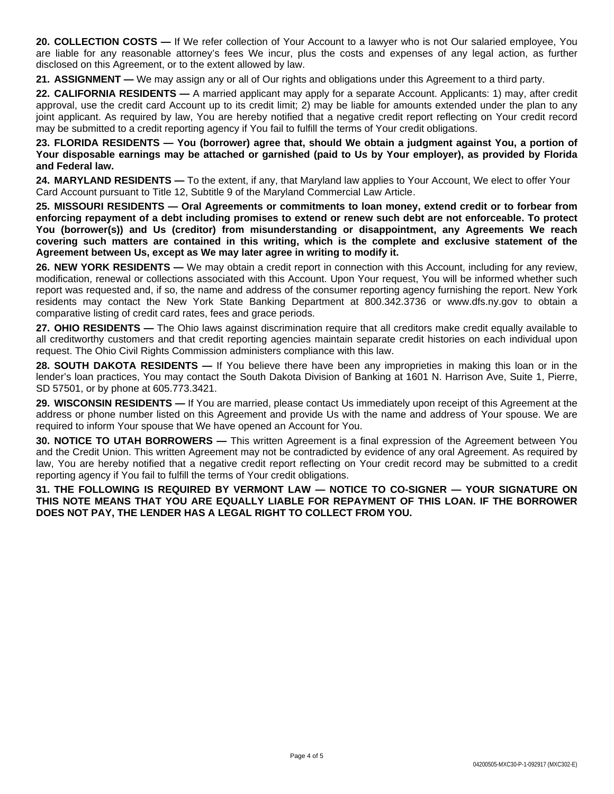**20. COLLECTION COSTS —** If We refer collection of Your Account to a lawyer who is not Our salaried employee, You are liable for any reasonable attorney's fees We incur, plus the costs and expenses of any legal action, as further disclosed on this Agreement, or to the extent allowed by law.

**21. ASSIGNMENT —** We may assign any or all of Our rights and obligations under this Agreement to a third party.

**22. CALIFORNIA RESIDENTS —** A married applicant may apply for a separate Account. Applicants: 1) may, after credit approval, use the credit card Account up to its credit limit; 2) may be liable for amounts extended under the plan to any joint applicant. As required by law, You are hereby notified that a negative credit report reflecting on Your credit record may be submitted to a credit reporting agency if You fail to fulfill the terms of Your credit obligations.

23. FLORIDA RESIDENTS - You (borrower) agree that, should We obtain a judgment against You, a portion of Your disposable earnings may be attached or garnished (paid to Us by Your employer), as provided by Florida **and Federal law.**

**24. MARYLAND RESIDENTS —** To the extent, if any, that Maryland law applies to Your Account, We elect to offer Your Card Account pursuant to Title 12, Subtitle 9 of the Maryland Commercial Law Article.

**25. MISSOURI RESIDENTS — Oral Agreements or commitments to loan money, extend credit or to forbear from** enforcing repayment of a debt including promises to extend or renew such debt are not enforceable. To protect **You (borrower(s)) and Us (creditor) from misunderstanding or disappointment, any Agreements We reach covering such matters are contained in this writing, which is the complete and exclusive statement of the Agreement between Us, except as We may later agree in writing to modify it.**

**26. NEW YORK RESIDENTS —** We may obtain a credit report in connection with this Account, including for any review, modification, renewal or collections associated with this Account. Upon Your request, You will be informed whether such report was requested and, if so, the name and address of the consumer reporting agency furnishing the report. New York residents may contact the New York State Banking Department at 800.342.3736 or www.dfs.ny.gov to obtain a comparative listing of credit card rates, fees and grace periods.

**27. OHIO RESIDENTS** — The Ohio laws against discrimination require that all creditors make credit equally available to all creditworthy customers and that credit reporting agencies maintain separate credit histories on each individual upon request. The Ohio Civil Rights Commission administers compliance with this law.

**28. SOUTH DAKOTA RESIDENTS —** If You believe there have been any improprieties in making this loan or in the lender's loan practices, You may contact the South Dakota Division of Banking at 1601 N. Harrison Ave, Suite 1, Pierre, SD 57501, or by phone at 605.773.3421.

**29. WISCONSIN RESIDENTS —** If You are married, please contact Us immediately upon receipt of this Agreement at the address or phone number listed on this Agreement and provide Us with the name and address of Your spouse. We are required to inform Your spouse that We have opened an Account for You.

**30. NOTICE TO UTAH BORROWERS —** This written Agreement is a final expression of the Agreement between You and the Credit Union. This written Agreement may not be contradicted by evidence of any oral Agreement. As required by law, You are hereby notified that a negative credit report reflecting on Your credit record may be submitted to a credit reporting agency if You fail to fulfill the terms of Your credit obligations.

**31. THE FOLLOWING IS REQUIRED BY VERMONT LAW — NOTICE TO CO-SIGNER — YOUR SIGNATURE ON THIS NOTE MEANS THAT YOU ARE EQUALLY LIABLE FOR REPAYMENT OF THIS LOAN. IF THE BORROWER DOES NOT PAY, THE LENDER HAS A LEGAL RIGHT TO COLLECT FROM YOU.**